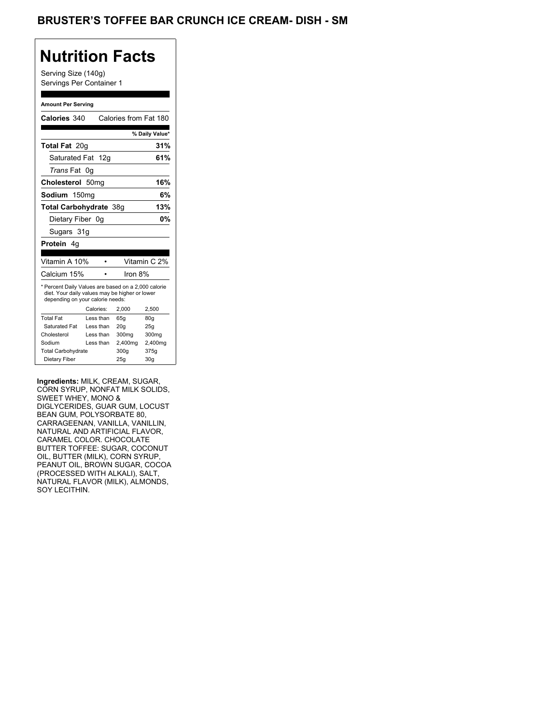## BRUSTER'S TOFFEE BAR CRUNCH ICE CREAM- DISH - SM

## **Nutrition Facts**

Serving Size (140g) Servings Per Container 1

#### **Amount Per Serving**

| Calories 340                                                                                                                              |                  | Calories from Fat 180 |                |
|-------------------------------------------------------------------------------------------------------------------------------------------|------------------|-----------------------|----------------|
|                                                                                                                                           |                  |                       | % Daily Value* |
| <b>Total Fat 20g</b>                                                                                                                      |                  |                       | 31%            |
| Saturated Fat 12g                                                                                                                         |                  |                       | 61%            |
| <i>Trans</i> Fat                                                                                                                          | 0g               |                       |                |
| Cholesterol                                                                                                                               | 50 <sub>mq</sub> |                       | 16%            |
| Sodium 150mg                                                                                                                              |                  |                       | 6%             |
| Total Carbohydrate 38q                                                                                                                    |                  |                       | 13%            |
| Dietary Fiber 0g                                                                                                                          |                  |                       | 0%             |
| Sugars 31g                                                                                                                                |                  |                       |                |
| <b>Protein</b> 4a                                                                                                                         |                  |                       |                |
|                                                                                                                                           |                  |                       |                |
| Vitamin A 10%                                                                                                                             |                  |                       | Vitamin C 2%   |
| Calcium 15%                                                                                                                               |                  | Iron 8%               |                |
| * Percent Daily Values are based on a 2,000 calorie<br>diet. Your daily values may be higher or lower<br>depending on your calorie needs: |                  |                       |                |
|                                                                                                                                           | Calories:        | 2.000                 |                |
|                                                                                                                                           |                  |                       | 2,500          |
| <b>Total Fat</b>                                                                                                                          | Less than        | 65q                   | 80q            |
| Saturated Fat                                                                                                                             | Less than        | 20q                   | 25g            |
| Cholesterol                                                                                                                               | Less than        | 300mg                 | 300mg          |
| Sodium                                                                                                                                    | Less than        | 2,400mg               | 2,400mg        |
| <b>Total Carbohydrate</b>                                                                                                                 |                  | 300g                  | 375g           |

**Ingredients:** MILK, CREAM, SUGAR, CORN SYRUP, NONFAT MILK SOLIDS, SWEET WHEY, MONO & DIGLYCERIDES, GUAR GUM, LOCUST BEAN GUM, POLYSORBATE 80, CARRAGEENAN, VANILLA, VANILLIN, NATURAL AND ARTIFICIAL FLAVOR, CARAMEL COLOR. CHOCOLATE BUTTER TOFFEE: SUGAR, COCONUT OIL, BUTTER (MILK), CORN SYRUP, PEANUT OIL, BROWN SUGAR, COCOA (PROCESSED WITH ALKALI), SALT, NATURAL FLAVOR (MILK), ALMONDS, SOY LECITHIN.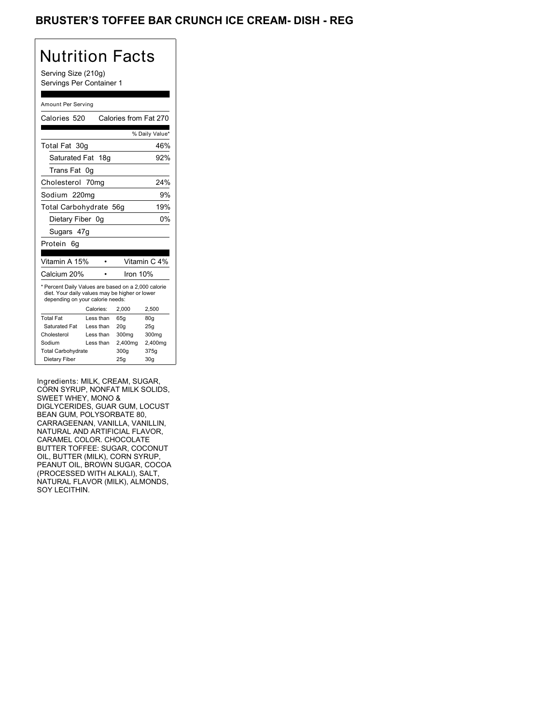## BRUSTER'S TOFFEE BAR CRUNCH ICE CREAM- DISH - REG

# Nutrition Facts

Serving Size (210g) Servings Per Container 1

#### Amount Per Serving

| Calories 520                                                                                                                              |                  | Calories from Fat 270 |                 |
|-------------------------------------------------------------------------------------------------------------------------------------------|------------------|-----------------------|-----------------|
|                                                                                                                                           |                  |                       | % Daily Value*  |
| Total Fat 30g                                                                                                                             |                  |                       | 46%             |
| Saturated Fat 18g                                                                                                                         |                  |                       | 92%             |
| Trans Fat 0g                                                                                                                              |                  |                       |                 |
| Cholesterol                                                                                                                               | 70 <sub>mg</sub> |                       | 24%             |
| Sodium 220mg                                                                                                                              |                  |                       | 9%              |
| Total Carbohydrate 56g                                                                                                                    |                  |                       | 19%             |
| Dietary Fiber 0q                                                                                                                          |                  |                       | 0%              |
| Sugars 47g                                                                                                                                |                  |                       |                 |
| Protein<br>6a                                                                                                                             |                  |                       |                 |
| Vitamin A 15%                                                                                                                             |                  |                       | Vitamin C 4%    |
| Calcium 20%                                                                                                                               |                  | Iron 10%              |                 |
| * Percent Daily Values are based on a 2,000 calorie<br>diet. Your daily values may be higher or lower<br>depending on your calorie needs: |                  |                       |                 |
|                                                                                                                                           | Calories:        | 2.000                 | 2,500           |
| <b>Total Fat</b>                                                                                                                          | Less than        | 65q                   | 80g             |
| Saturated Fat                                                                                                                             | Less than        | 20q                   | 25g             |
| Cholesterol                                                                                                                               | Less than        | 300mg                 | 300mg           |
| Sodium                                                                                                                                    | Less than        | 2,400mg               | 2,400mg         |
| <b>Total Carbohydrate</b>                                                                                                                 |                  | 300g                  | 375g            |
| Dietary Fiber                                                                                                                             |                  | 25g                   | 30 <sub>g</sub> |

Ingredients: MILK, CREAM, SUGAR, CORN SYRUP, NONFAT MILK SOLIDS, SWEET WHEY, MONO & DIGLYCERIDES, GUAR GUM, LOCUST BEAN GUM, POLYSORBATE 80, CARRAGEENAN, VANILLA, VANILLIN, NATURAL AND ARTIFICIAL FLAVOR, CARAMEL COLOR. CHOCOLATE BUTTER TOFFEE: SUGAR, COCONUT OIL, BUTTER (MILK), CORN SYRUP, PEANUT OIL, BROWN SUGAR, COCOA (PROCESSED WITH ALKALI), SALT, NATURAL FLAVOR (MILK), ALMONDS, SOY LECITHIN.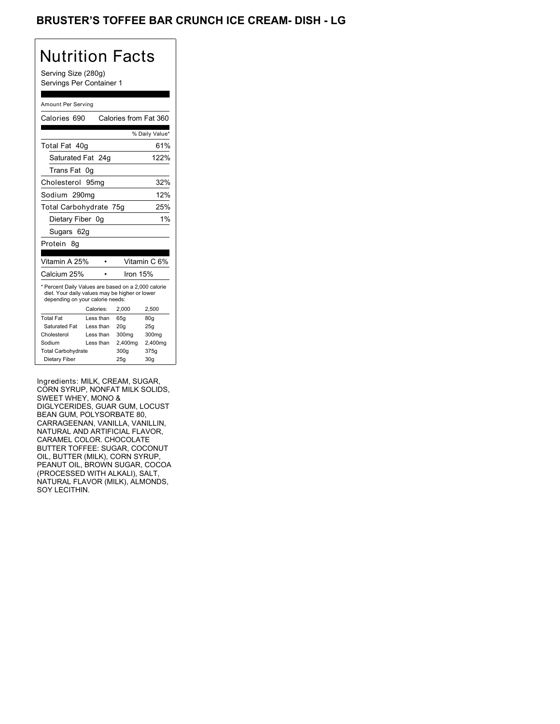## BRUSTER'S TOFFEE BAR CRUNCH ICE CREAM- DISH - LG

## Nutrition Facts

Serving Size (280g) Servings Per Container 1

#### Amount Per Serving

| Calories 690                                                                                                                              |           | Calories from Fat 360 |                 |
|-------------------------------------------------------------------------------------------------------------------------------------------|-----------|-----------------------|-----------------|
|                                                                                                                                           |           |                       | % Daily Value*  |
| Total Fat 40g                                                                                                                             |           |                       | 61%             |
| Saturated Fat 24g                                                                                                                         |           |                       | 122%            |
| Trans Fat                                                                                                                                 | 0g        |                       |                 |
| Cholesterol                                                                                                                               | 95mq      |                       | 32%             |
| Sodium 290mg                                                                                                                              |           |                       | 12%             |
| Total Carbohydrate 75g                                                                                                                    |           |                       | 25%             |
| Dietary Fiber 0q                                                                                                                          |           |                       | 1%              |
| Sugars 62g                                                                                                                                |           |                       |                 |
| Protein<br>8g                                                                                                                             |           |                       |                 |
|                                                                                                                                           |           |                       |                 |
| Vitamin A 25%                                                                                                                             |           |                       | Vitamin C 6%    |
| Calcium 25%                                                                                                                               |           | Iron 15%              |                 |
| * Percent Daily Values are based on a 2,000 calorie<br>diet. Your daily values may be higher or lower<br>depending on your calorie needs: |           |                       |                 |
|                                                                                                                                           | Calories: | 2,000                 | 2,500           |
| <b>Total Fat</b>                                                                                                                          | Less than | 65g                   | 80g             |
| Saturated Fat                                                                                                                             | Less than | 20q                   | 25g             |
| Cholesterol                                                                                                                               | Less than | 300mg                 | 300mg           |
| Sodium                                                                                                                                    | Less than | 2,400mg               | 2,400mg         |
| <b>Total Carbohydrate</b>                                                                                                                 |           | 300g                  | 375g            |
| Dietary Fiber                                                                                                                             |           | 25q                   | 30 <sub>g</sub> |
|                                                                                                                                           |           |                       |                 |

Ingredients: MILK, CREAM, SUGAR, CORN SYRUP, NONFAT MILK SOLIDS, SWEET WHEY, MONO & DIGLYCERIDES, GUAR GUM, LOCUST BEAN GUM, POLYSORBATE 80, CARRAGEENAN, VANILLA, VANILLIN, NATURAL AND ARTIFICIAL FLAVOR, CARAMEL COLOR. CHOCOLATE BUTTER TOFFEE: SUGAR, COCONUT OIL, BUTTER (MILK), CORN SYRUP, PEANUT OIL, BROWN SUGAR, COCOA (PROCESSED WITH ALKALI), SALT, NATURAL FLAVOR (MILK), ALMONDS, SOY LECITHIN.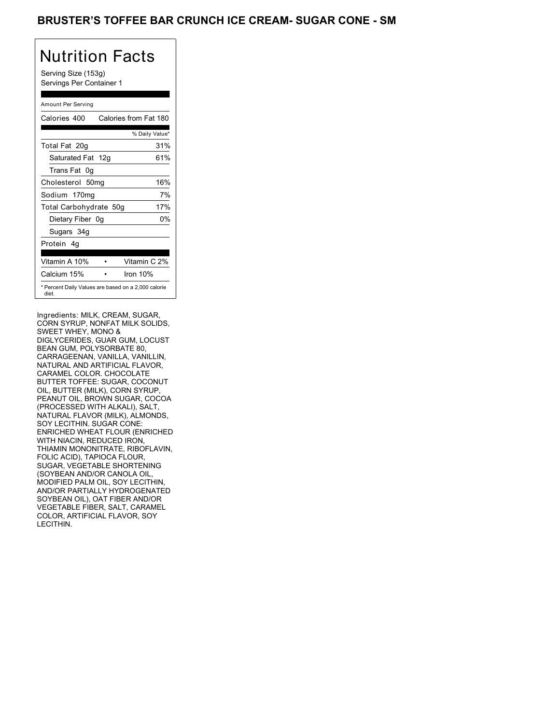## BRUSTER'S TOFFEE BAR CRUNCH ICE CREAM- SUGAR CONE - SM

# Nutrition Facts

Serving Size (153g) Servings Per Container 1

### Amount Per Serving

| Calories 400           | Calories from Fat 180                               |
|------------------------|-----------------------------------------------------|
|                        | % Daily Value*                                      |
| Total Fat 20g          | 31%                                                 |
| Saturated Fat 12g      | 61%                                                 |
| Trans Fat 0q           |                                                     |
| Cholesterol 50mg       | 16%                                                 |
| Sodium 170mg           | 7%                                                  |
| Total Carbohydrate 50g | 17%                                                 |
| Dietary Fiber 0g       | 0%                                                  |
| Sugars 34g             |                                                     |
| Protein 4q             |                                                     |
| Vitamin A 10%          | Vitamin C 2%                                        |
| Calcium 15%            | Iron $10%$                                          |
| diet.                  | * Percent Daily Values are based on a 2,000 calorie |

Ingredients: MILK, CREAM, SUGAR, CORN SYRUP, NONFAT MILK SOLIDS, SWEET WHEY, MONO & DIGLYCERIDES, GUAR GUM, LOCUST BEAN GUM, POLYSORBATE 80, CARRAGEENAN, VANILLA, VANILLIN, NATURAL AND ARTIFICIAL FLAVOR, CARAMEL COLOR. CHOCOLATE BUTTER TOFFEE: SUGAR, COCONUT OIL, BUTTER (MILK), CORN SYRUP, PEANUT OIL, BROWN SUGAR, COCOA (PROCESSED WITH ALKALI), SALT, NATURAL FLAVOR (MILK), ALMONDS, SOY LECITHIN. SUGAR CONE: ENRICHED WHEAT FLOUR (ENRICHED WITH NIACIN, REDUCED IRON, THIAMIN MONONITRATE, RIBOFLAVIN, FOLIC ACID), TAPIOCA FLOUR, SUGAR, VEGETABLE SHORTENING (SOYBEAN AND/OR CANOLA OIL, MODIFIED PALM OIL, SOY LECITHIN, AND/OR PARTIALLY HYDROGENATED SOYBEAN OIL), OAT FIBER AND/OR VEGETABLE FIBER, SALT, CARAMEL COLOR, ARTIFICIAL FLAVOR, SOY LECITHIN.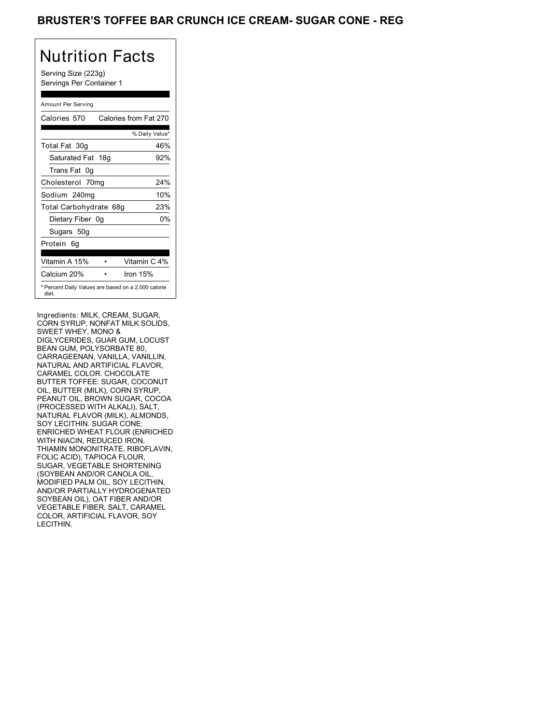## **BRUSTER'S TOFFEE BAR CRUNCH ICE CREAM- SUGAR CONE - REG**

# Nutrition Facts

Serving Size (223g) Servings Per Container 1

### Amount Per Serving

| Calories 570                                                 | Calories from Fat 270 |
|--------------------------------------------------------------|-----------------------|
|                                                              | % Daily Value*        |
| Total Fat 30g                                                | 46%                   |
| Saturated Fat 18g                                            | 92%                   |
| Trans Fat 0q                                                 |                       |
| Cholesterol 70mg                                             | 24%                   |
| Sodium 240mg                                                 | 10%                   |
| Total Carbohydrate 68g                                       | 23%                   |
| Dietary Fiber 0g                                             | 0%                    |
| Sugars 50g                                                   |                       |
| Protein 6q                                                   |                       |
| Vitamin A 15%                                                | Vitamin C 4%          |
| Calcium 20%                                                  | Iron $15%$            |
| * Percent Daily Values are based on a 2,000 calorie<br>diet. |                       |

Ingredients: MILK, CREAM, SUGAR, CORN SYRUP, NONFAT MILK SOLIDS, SWEET WHEY, MONO & DIGLYCERIDES, GUAR GUM, LOCUST BEAN GUM, POLYSORBATE 80, CARRAGEENAN, VANILLA, VANILLIN, NATURAL AND ARTIFICIAL FLAVOR, CARAMEL COLOR. CHOCOLATE BUTTER TOFFEE: SUGAR, COCONUT OIL, BUTTER (MILK), CORN SYRUP, PEANUT OIL, BROWN SUGAR, COCOA (PROCESSED WITH ALKALI), SALT, NATURAL FLAVOR (MILK), ALMONDS, SOY LECITHIN. SUGAR CONE: ENRICHED WHEAT FLOUR (ENRICHED WITH NIACIN, REDUCED IRON, THIAMIN MONONITRATE, RIBOFLAVIN, FOLIC ACID), TAPIOCA FLOUR, SUGAR, VEGETABLE SHORTENING (SOYBEAN AND/OR CANOLA OIL, MODIFIED PALM OIL, SOY LECITHIN, AND/OR PARTIALLY HYDROGENATED SOYBEAN OIL), OAT FIBER AND/OR VEGETABLE FIBER, SALT, CARAMEL COLOR, ARTIFICIAL FLAVOR, SOY LECITHIN.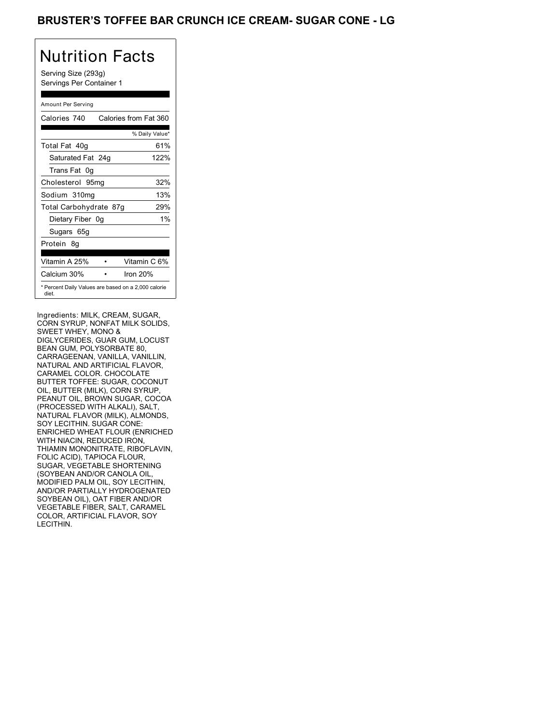## BRUSTER'S TOFFEE BAR CRUNCH ICE CREAM- SUGAR CONE - LG

# Nutrition Facts

Serving Size (293g) Servings Per Container 1

### Amount Per Serving

| Calories 740           | Calories from Fat 360                               |
|------------------------|-----------------------------------------------------|
|                        | % Daily Value*                                      |
| Total Fat 40g          | 61%                                                 |
| Saturated Fat 24g      | 122%                                                |
| Trans Fat 0q           |                                                     |
| Cholesterol 95mg       | 32%                                                 |
| Sodium 310mg           | 13%                                                 |
| Total Carbohydrate 87g | 29%                                                 |
| Dietary Fiber 0g       | $1\%$                                               |
| Sugars 65g             |                                                     |
| Protein 8q             |                                                     |
| Vitamin A 25%          | Vitamin C 6%                                        |
| Calcium 30%            | Iron $20%$                                          |
| diet.                  | * Percent Daily Values are based on a 2,000 calorie |

Ingredients: MILK, CREAM, SUGAR, CORN SYRUP, NONFAT MILK SOLIDS, SWEET WHEY, MONO & DIGLYCERIDES, GUAR GUM, LOCUST BEAN GUM, POLYSORBATE 80, CARRAGEENAN, VANILLA, VANILLIN, NATURAL AND ARTIFICIAL FLAVOR, CARAMEL COLOR. CHOCOLATE BUTTER TOFFEE: SUGAR, COCONUT OIL, BUTTER (MILK), CORN SYRUP, PEANUT OIL, BROWN SUGAR, COCOA (PROCESSED WITH ALKALI), SALT, NATURAL FLAVOR (MILK), ALMONDS, SOY LECITHIN. SUGAR CONE: ENRICHED WHEAT FLOUR (ENRICHED WITH NIACIN, REDUCED IRON, THIAMIN MONONITRATE, RIBOFLAVIN, FOLIC ACID), TAPIOCA FLOUR, SUGAR, VEGETABLE SHORTENING (SOYBEAN AND/OR CANOLA OIL, MODIFIED PALM OIL, SOY LECITHIN, AND/OR PARTIALLY HYDROGENATED SOYBEAN OIL), OAT FIBER AND/OR VEGETABLE FIBER, SALT, CARAMEL COLOR, ARTIFICIAL FLAVOR, SOY LECITHIN.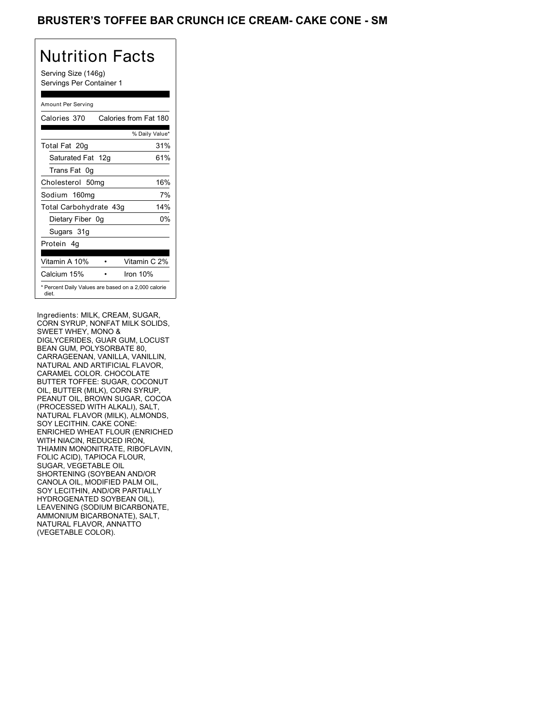## BRUSTER'S TOFFEE BAR CRUNCH ICE CREAM- CAKE CONE - SM

## Nutrition Facts

Serving Size (146g) Servings Per Container 1

### Amount Per Serving

| Calories 370                                                 | Calories from Fat 180 |
|--------------------------------------------------------------|-----------------------|
|                                                              | % Daily Value*        |
| Total Fat 20g                                                | 31%                   |
| Saturated Fat 12g                                            | 61%                   |
| Trans Fat 0q                                                 |                       |
| Cholesterol 50mg                                             | 16%                   |
| Sodium 160mg                                                 | 7%                    |
| Total Carbohydrate 43g                                       | 14%                   |
| Dietary Fiber 0g                                             | 0%                    |
| Sugars 31g                                                   |                       |
| Protein 4q                                                   |                       |
| Vitamin A 10%                                                | Vitamin C 2%          |
| Calcium 15%                                                  | Iron $10%$            |
| * Percent Daily Values are based on a 2,000 calorie<br>diet. |                       |

Ingredients: MILK, CREAM, SUGAR, CORN SYRUP, NONFAT MILK SOLIDS, SWEET WHEY, MONO & DIGLYCERIDES, GUAR GUM, LOCUST BEAN GUM, POLYSORBATE 80, CARRAGEENAN, VANILLA, VANILLIN, NATURAL AND ARTIFICIAL FLAVOR, CARAMEL COLOR. CHOCOLATE BUTTER TOFFEE: SUGAR, COCONUT OIL, BUTTER (MILK), CORN SYRUP, PEANUT OIL, BROWN SUGAR, COCOA (PROCESSED WITH ALKALI), SALT, NATURAL FLAVOR (MILK), ALMONDS, SOY LECITHIN. CAKE CONE: ENRICHED WHEAT FLOUR (ENRICHED WITH NIACIN, REDUCED IRON, THIAMIN MONONITRATE, RIBOFLAVIN, FOLIC ACID), TAPIOCA FLOUR, SUGAR, VEGETABLE OIL SHORTENING (SOYBEAN AND/OR CANOLA OIL, MODIFIED PALM OIL, SOY LECITHIN, AND/OR PARTIALLY HYDROGENATED SOYBEAN OIL), LEAVENING (SODIUM BICARBONATE, AMMONIUM BICARBONATE), SALT, NATURAL FLAVOR, ANNATTO (VEGETABLE COLOR).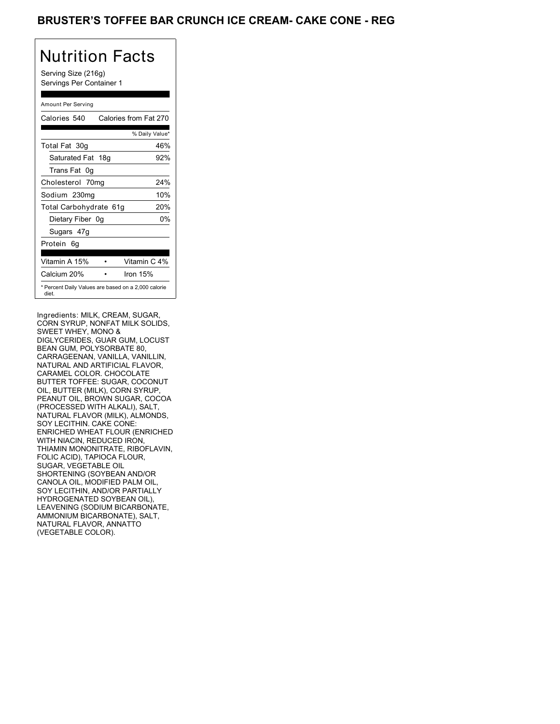## BRUSTER'S TOFFEE BAR CRUNCH ICE CREAM- CAKE CONE - REG

# Nutrition Facts

Serving Size (216g) Servings Per Container 1

### Amount Per Serving

| Calories 540                                                 | Calories from Fat 270 |
|--------------------------------------------------------------|-----------------------|
|                                                              | % Daily Value*        |
| Total Fat 30g                                                | 46%                   |
| Saturated Fat 18g                                            | 92%                   |
| Trans Fat 0q                                                 |                       |
| Cholesterol 70mg                                             | 24%                   |
| Sodium 230mg                                                 | 10%                   |
| Total Carbohydrate 61g                                       | 20%                   |
| Dietary Fiber 0g                                             | 0%                    |
| Sugars 47g                                                   |                       |
| Protein 6q                                                   |                       |
| Vitamin A 15%                                                | Vitamin C 4%          |
| Calcium 20%                                                  | Iron $15%$            |
| * Percent Daily Values are based on a 2,000 calorie<br>diet. |                       |

Ingredients: MILK, CREAM, SUGAR, CORN SYRUP, NONFAT MILK SOLIDS, SWEET WHEY, MONO & DIGLYCERIDES, GUAR GUM, LOCUST BEAN GUM, POLYSORBATE 80, CARRAGEENAN, VANILLA, VANILLIN, NATURAL AND ARTIFICIAL FLAVOR, CARAMEL COLOR. CHOCOLATE BUTTER TOFFEE: SUGAR, COCONUT OIL, BUTTER (MILK), CORN SYRUP, PEANUT OIL, BROWN SUGAR, COCOA (PROCESSED WITH ALKALI), SALT, NATURAL FLAVOR (MILK), ALMONDS, SOY LECITHIN. CAKE CONE: ENRICHED WHEAT FLOUR (ENRICHED WITH NIACIN, REDUCED IRON, THIAMIN MONONITRATE, RIBOFLAVIN, FOLIC ACID), TAPIOCA FLOUR, SUGAR, VEGETABLE OIL SHORTENING (SOYBEAN AND/OR CANOLA OIL, MODIFIED PALM OIL, SOY LECITHIN, AND/OR PARTIALLY HYDROGENATED SOYBEAN OIL), LEAVENING (SODIUM BICARBONATE, AMMONIUM BICARBONATE), SALT, NATURAL FLAVOR, ANNATTO (VEGETABLE COLOR).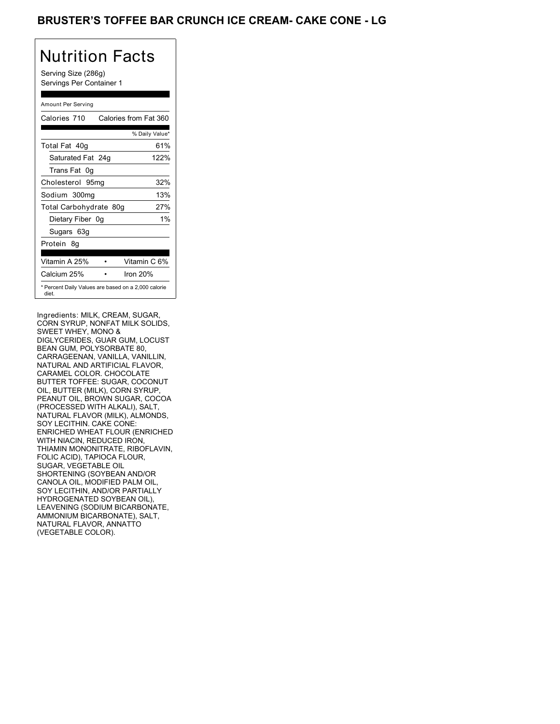## BRUSTER'S TOFFEE BAR CRUNCH ICE CREAM- CAKE CONE - LG

# Nutrition Facts

Serving Size (286g) Servings Per Container 1

### Amount Per Serving

| Calories 710           | Calories from Fat 360                               |
|------------------------|-----------------------------------------------------|
|                        | % Daily Value*                                      |
| Total Fat 40g          | 61%                                                 |
| Saturated Fat 24g      | 122%                                                |
| Trans Fat 0q           |                                                     |
| Cholesterol 95mg       | 32%                                                 |
| Sodium 300mg           | 13%                                                 |
| Total Carbohydrate 80g | 27%                                                 |
| Dietary Fiber 0g       | $1\%$                                               |
| Sugars 63g             |                                                     |
| Protein 8q             |                                                     |
| Vitamin A 25%          | Vitamin C 6%                                        |
| Calcium 25%            | Iron 20%                                            |
| diet.                  | * Percent Daily Values are based on a 2,000 calorie |

Ingredients: MILK, CREAM, SUGAR, CORN SYRUP, NONFAT MILK SOLIDS, SWEET WHEY, MONO & DIGLYCERIDES, GUAR GUM, LOCUST BEAN GUM, POLYSORBATE 80, CARRAGEENAN, VANILLA, VANILLIN, NATURAL AND ARTIFICIAL FLAVOR, CARAMEL COLOR. CHOCOLATE BUTTER TOFFEE: SUGAR, COCONUT OIL, BUTTER (MILK), CORN SYRUP, PEANUT OIL, BROWN SUGAR, COCOA (PROCESSED WITH ALKALI), SALT, NATURAL FLAVOR (MILK), ALMONDS, SOY LECITHIN. CAKE CONE: ENRICHED WHEAT FLOUR (ENRICHED WITH NIACIN, REDUCED IRON, THIAMIN MONONITRATE, RIBOFLAVIN, FOLIC ACID), TAPIOCA FLOUR, SUGAR, VEGETABLE OIL SHORTENING (SOYBEAN AND/OR CANOLA OIL, MODIFIED PALM OIL, SOY LECITHIN, AND/OR PARTIALLY HYDROGENATED SOYBEAN OIL), LEAVENING (SODIUM BICARBONATE, AMMONIUM BICARBONATE), SALT, NATURAL FLAVOR, ANNATTO (VEGETABLE COLOR).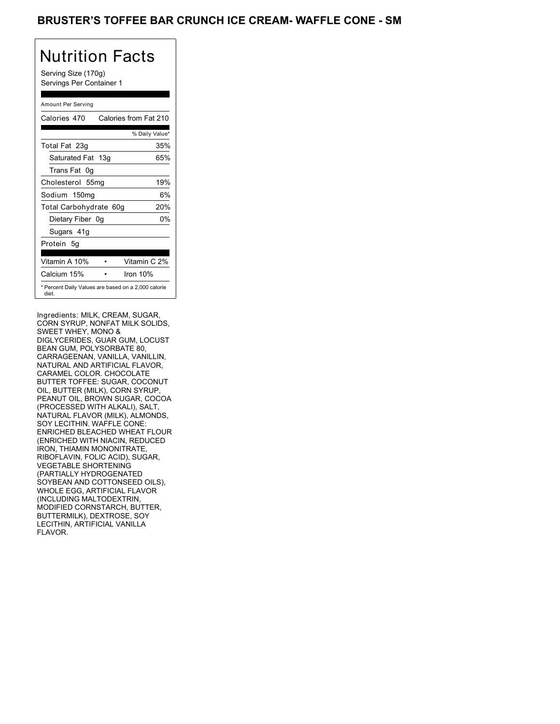## BRUSTER'S TOFFEE BAR CRUNCH ICE CREAM- WAFFLE CONE - SM

# Nutrition Facts

Serving Size (170g) Servings Per Container 1

### Amount Per Serving

| Calories 470                                                 | Calories from Fat 210 |
|--------------------------------------------------------------|-----------------------|
|                                                              | % Daily Value*        |
| Total Fat 23g                                                | 35%                   |
| Saturated Fat 13g                                            | 65%                   |
| Trans Fat 0q                                                 |                       |
| Cholesterol 55mg                                             | 19%                   |
| Sodium 150mg                                                 | 6%                    |
| Total Carbohydrate 60g                                       | 20%                   |
| Dietary Fiber 0g                                             | 0%                    |
| Sugars 41g                                                   |                       |
| Protein 5g                                                   |                       |
| Vitamin A 10%                                                | Vitamin C 2%          |
| Calcium 15%                                                  | Iron $10%$            |
| * Percent Daily Values are based on a 2,000 calorie<br>diet. |                       |

Ingredients: MILK, CREAM, SUGAR, CORN SYRUP, NONFAT MILK SOLIDS, SWEET WHEY, MONO & DIGLYCERIDES, GUAR GUM, LOCUST BEAN GUM, POLYSORBATE 80, CARRAGEENAN, VANILLA, VANILLIN, NATURAL AND ARTIFICIAL FLAVOR, CARAMEL COLOR. CHOCOLATE BUTTER TOFFEE: SUGAR, COCONUT OIL, BUTTER (MILK), CORN SYRUP, PEANUT OIL, BROWN SUGAR, COCOA (PROCESSED WITH ALKALI), SALT, NATURAL FLAVOR (MILK), ALMONDS, SOY LECITHIN. WAFFLE CONE: ENRICHED BLEACHED WHEAT FLOUR (ENRICHED WITH NIACIN, REDUCED IRON, THIAMIN MONONITRATE, RIBOFLAVIN, FOLIC ACID), SUGAR, VEGETABLE SHORTENING (PARTIALLY HYDROGENATED SOYBEAN AND COTTONSEED OILS), WHOLE EGG, ARTIFICIAL FLAVOR (INCLUDING MALTODEXTRIN, MODIFIED CORNSTARCH, BUTTER, BUTTERMILK), DEXTROSE, SOY LECITHIN, ARTIFICIAL VANILLA FLAVOR.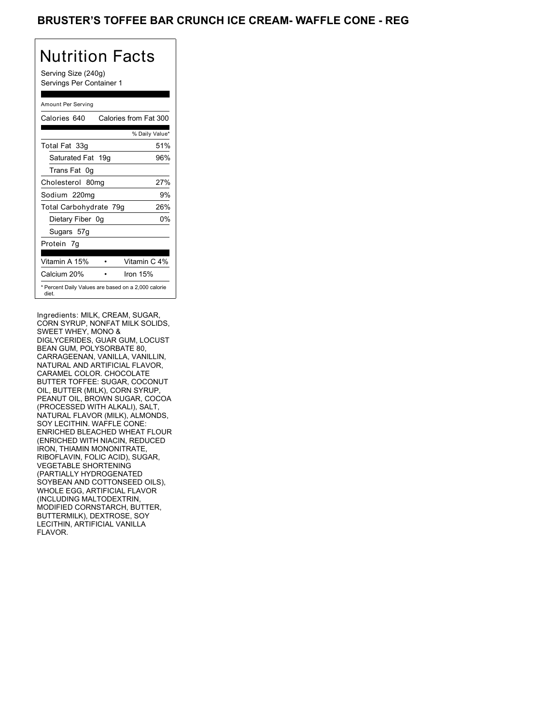## BRUSTER'S TOFFEE BAR CRUNCH ICE CREAM- WAFFLE CONE - REG

# Nutrition Facts

Serving Size (240g) Servings Per Container 1

### Amount Per Serving

| Calories 640           | Calories from Fat 300                               |
|------------------------|-----------------------------------------------------|
|                        | % Daily Value*                                      |
| Total Fat 33g          | 51%                                                 |
| Saturated Fat 19g      | 96%                                                 |
| Trans Fat 0q           |                                                     |
| Cholesterol 80mg       | 27%                                                 |
| Sodium 220mg           | 9%                                                  |
| Total Carbohydrate 79g | 26%                                                 |
| Dietary Fiber 0g       | 0%                                                  |
| Sugars 57g             |                                                     |
| Protein 7q             |                                                     |
|                        |                                                     |
| Vitamin A 15%          | Vitamin C 4%                                        |
| Calcium 20%            | Iron $15%$                                          |
| diet.                  | * Percent Daily Values are based on a 2,000 calorie |

Ingredients: MILK, CREAM, SUGAR, CORN SYRUP, NONFAT MILK SOLIDS, SWEET WHEY, MONO & DIGLYCERIDES, GUAR GUM, LOCUST BEAN GUM, POLYSORBATE 80, CARRAGEENAN, VANILLA, VANILLIN, NATURAL AND ARTIFICIAL FLAVOR, CARAMEL COLOR. CHOCOLATE BUTTER TOFFEE: SUGAR, COCONUT OIL, BUTTER (MILK), CORN SYRUP, PEANUT OIL, BROWN SUGAR, COCOA (PROCESSED WITH ALKALI), SALT, NATURAL FLAVOR (MILK), ALMONDS, SOY LECITHIN. WAFFLE CONE: ENRICHED BLEACHED WHEAT FLOUR (ENRICHED WITH NIACIN, REDUCED IRON, THIAMIN MONONITRATE, RIBOFLAVIN, FOLIC ACID), SUGAR, VEGETABLE SHORTENING (PARTIALLY HYDROGENATED SOYBEAN AND COTTONSEED OILS), WHOLE EGG, ARTIFICIAL FLAVOR (INCLUDING MALTODEXTRIN, MODIFIED CORNSTARCH, BUTTER, BUTTERMILK), DEXTROSE, SOY LECITHIN, ARTIFICIAL VANILLA FLAVOR.